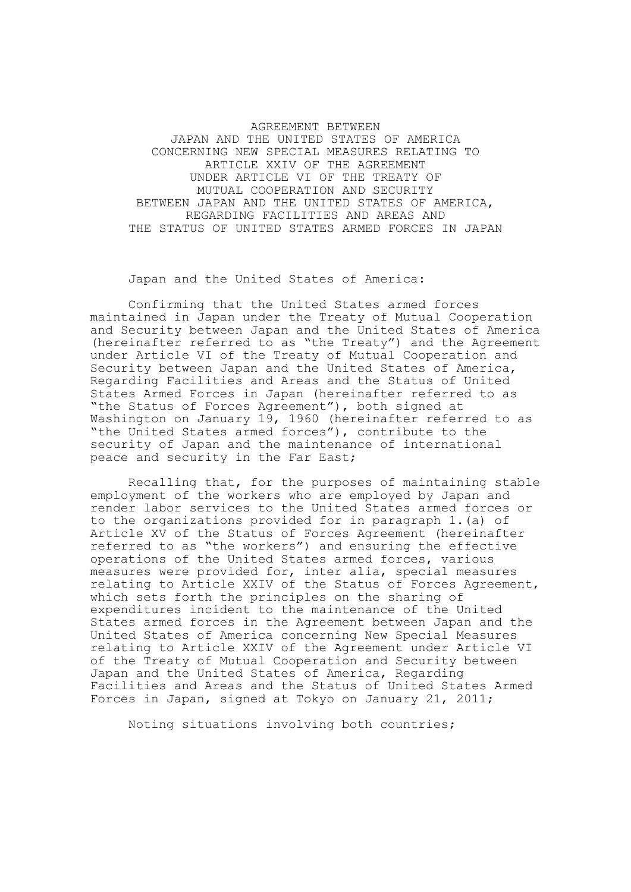AGREEMENT BETWEEN JAPAN AND THE UNITED STATES OF AMERICA CONCERNING NEW SPECIAL MEASURES RELATING TO ARTICLE XXIV OF THE AGREEMENT UNDER ARTICLE VI OF THE TREATY OF MUTUAL COOPERATION AND SECURITY BETWEEN JAPAN AND THE UNITED STATES OF AMERICA, REGARDING FACILITIES AND AREAS AND THE STATUS OF UNITED STATES ARMED FORCES IN JAPAN

## Japan and the United States of America:

Confirming that the United States armed forces maintained in Japan under the Treaty of Mutual Cooperation and Security between Japan and the United States of America (hereinafter referred to as "the Treaty") and the Agreement under Article VI of the Treaty of Mutual Cooperation and Security between Japan and the United States of America, Regarding Facilities and Areas and the Status of United States Armed Forces in Japan (hereinafter referred to as "the Status of Forces Agreement"), both signed at Washington on January 19, 1960 (hereinafter referred to as "the United States armed forces"), contribute to the security of Japan and the maintenance of international peace and security in the Far East;

Recalling that, for the purposes of maintaining stable employment of the workers who are employed by Japan and render labor services to the United States armed forces or to the organizations provided for in paragraph 1.(a) of Article XV of the Status of Forces Agreement (hereinafter referred to as "the workers") and ensuring the effective operations of the United States armed forces, various measures were provided for, inter alia, special measures relating to Article XXIV of the Status of Forces Agreement, which sets forth the principles on the sharing of expenditures incident to the maintenance of the United States armed forces in the Agreement between Japan and the United States of America concerning New Special Measures relating to Article XXIV of the Agreement under Article VI of the Treaty of Mutual Cooperation and Security between Japan and the United States of America, Regarding Facilities and Areas and the Status of United States Armed Forces in Japan, signed at Tokyo on January 21, 2011;

Noting situations involving both countries;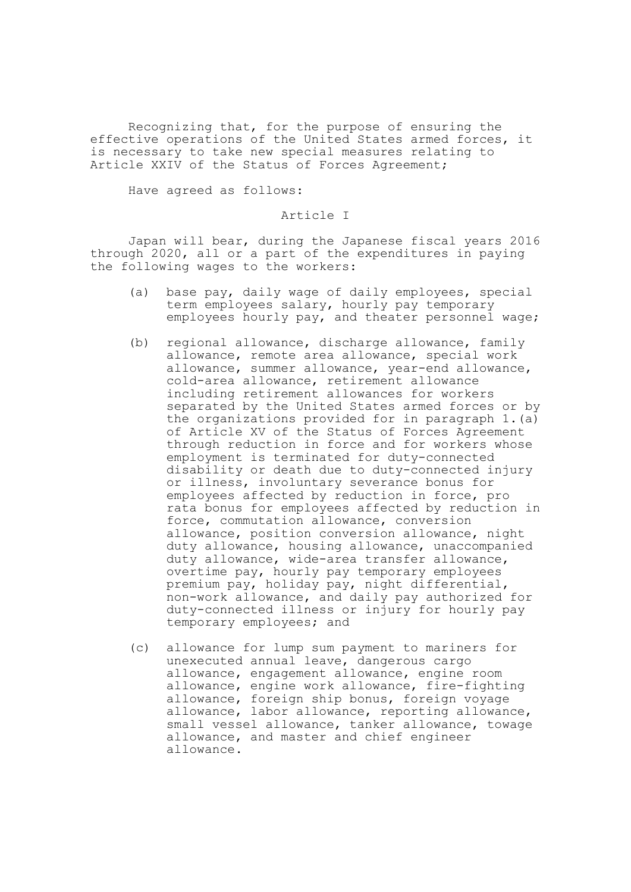Recognizing that, for the purpose of ensuring the effective operations of the United States armed forces, it is necessary to take new special measures relating to Article XXIV of the Status of Forces Agreement;

Have agreed as follows:

# Article I

Japan will bear, during the Japanese fiscal years 2016 through 2020, all or a part of the expenditures in paying the following wages to the workers:

- (a) base pay, daily wage of daily employees, special term employees salary, hourly pay temporary employees hourly pay, and theater personnel wage;
- (b) regional allowance, discharge allowance, family allowance, remote area allowance, special work allowance, summer allowance, year-end allowance, cold-area allowance, retirement allowance including retirement allowances for workers separated by the United States armed forces or by the organizations provided for in paragraph 1.(a) of Article XV of the Status of Forces Agreement through reduction in force and for workers whose employment is terminated for duty-connected disability or death due to duty-connected injury or illness, involuntary severance bonus for employees affected by reduction in force, pro rata bonus for employees affected by reduction in force, commutation allowance, conversion allowance, position conversion allowance, night duty allowance, housing allowance, unaccompanied duty allowance, wide-area transfer allowance, overtime pay, hourly pay temporary employees premium pay, holiday pay, night differential, non-work allowance, and daily pay authorized for duty-connected illness or injury for hourly pay temporary employees; and
- (c) allowance for lump sum payment to mariners for unexecuted annual leave, dangerous cargo allowance, engagement allowance, engine room allowance, engine work allowance, fire-fighting allowance, foreign ship bonus, foreign voyage allowance, labor allowance, reporting allowance, small vessel allowance, tanker allowance, towage allowance, and master and chief engineer allowance.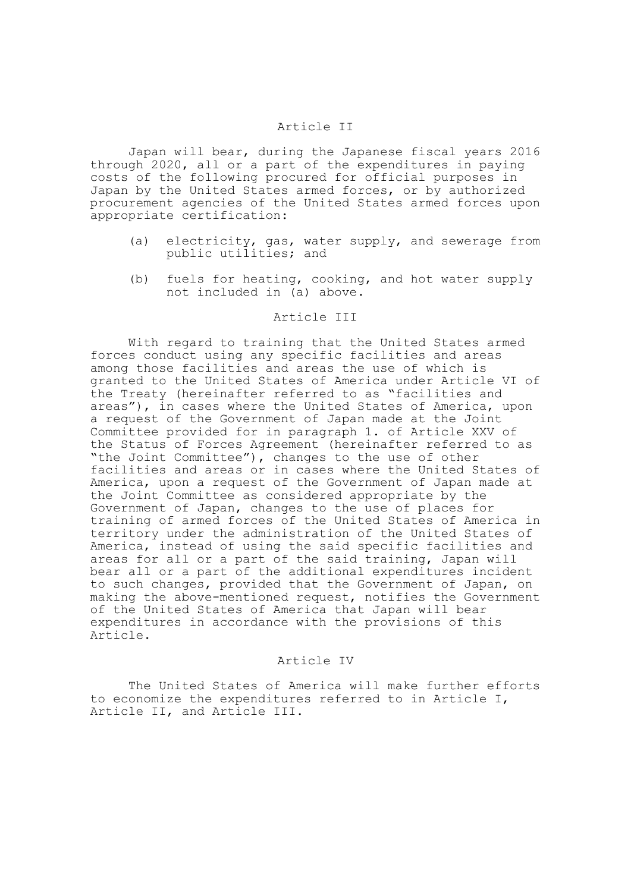### Article II

Japan will bear, during the Japanese fiscal years 2016 through 2020, all or a part of the expenditures in paying costs of the following procured for official purposes in Japan by the United States armed forces, or by authorized procurement agencies of the United States armed forces upon appropriate certification:

- (a) electricity, gas, water supply, and sewerage from public utilities; and
- (b) fuels for heating, cooking, and hot water supply not included in (a) above.

#### Article III

With regard to training that the United States armed forces conduct using any specific facilities and areas among those facilities and areas the use of which is granted to the United States of America under Article VI of the Treaty (hereinafter referred to as "facilities and areas"), in cases where the United States of America, upon a request of the Government of Japan made at the Joint Committee provided for in paragraph 1. of Article XXV of the Status of Forces Agreement (hereinafter referred to as "the Joint Committee"), changes to the use of other facilities and areas or in cases where the United States of America, upon a request of the Government of Japan made at the Joint Committee as considered appropriate by the Government of Japan, changes to the use of places for training of armed forces of the United States of America in territory under the administration of the United States of America, instead of using the said specific facilities and areas for all or a part of the said training, Japan will bear all or a part of the additional expenditures incident to such changes, provided that the Government of Japan, on making the above-mentioned request, notifies the Government of the United States of America that Japan will bear expenditures in accordance with the provisions of this Article.

#### Article IV

The United States of America will make further efforts to economize the expenditures referred to in Article I, Article II, and Article III.